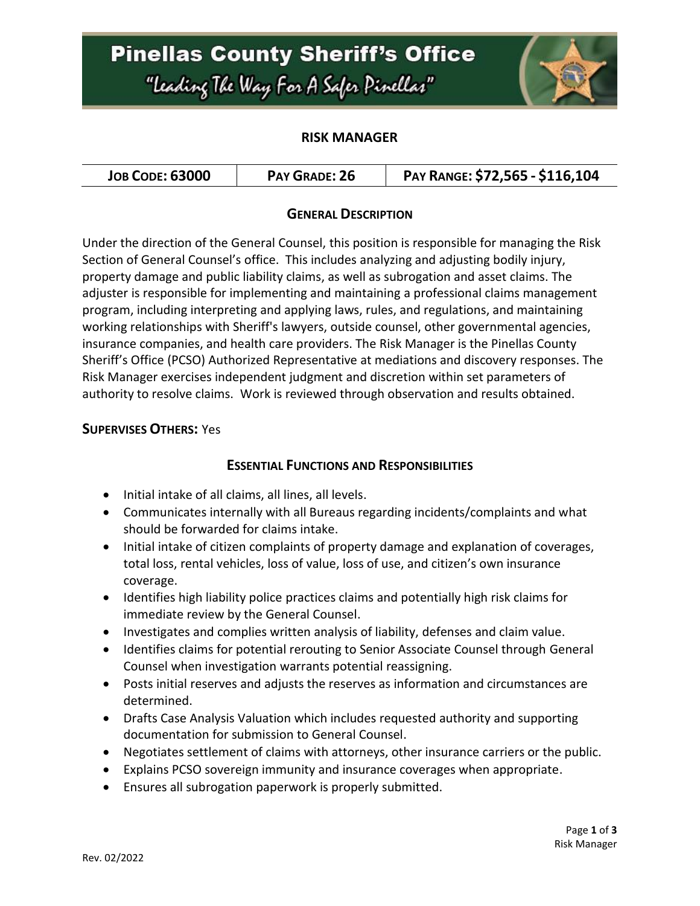# **Pinellas County Sheriff's Office** "Leading The Way For A Safer Pinellar"



#### **RISK MANAGER**

#### **GENERAL DESCRIPTION**

Under the direction of the General Counsel, this position is responsible for managing the Risk Section of General Counsel's office. This includes analyzing and adjusting bodily injury, property damage and public liability claims, as well as subrogation and asset claims. The adjuster is responsible for implementing and maintaining a professional claims management program, including interpreting and applying laws, rules, and regulations, and maintaining working relationships with Sheriff's lawyers, outside counsel, other governmental agencies, insurance companies, and health care providers. The Risk Manager is the Pinellas County Sheriff's Office (PCSO) Authorized Representative at mediations and discovery responses. The Risk Manager exercises independent judgment and discretion within set parameters of authority to resolve claims. Work is reviewed through observation and results obtained.

#### **SUPERVISES OTHERS:** Yes

#### **ESSENTIAL FUNCTIONS AND RESPONSIBILITIES**

- $\bullet$  Initial intake of all claims, all lines, all levels.
- Communicates internally with all Bureaus regarding incidents/complaints and what should be forwarded for claims intake.
- Initial intake of citizen complaints of property damage and explanation of coverages, total loss, rental vehicles, loss of value, loss of use, and citizen's own insurance coverage.
- Identifies high liability police practices claims and potentially high risk claims for immediate review by the General Counsel.
- Investigates and complies written analysis of liability, defenses and claim value.
- Identifies claims for potential rerouting to Senior Associate Counsel through General Counsel when investigation warrants potential reassigning.
- Posts initial reserves and adjusts the reserves as information and circumstances are determined.
- Drafts Case Analysis Valuation which includes requested authority and supporting documentation for submission to General Counsel.
- Negotiates settlement of claims with attorneys, other insurance carriers or the public.
- Explains PCSO sovereign immunity and insurance coverages when appropriate.
- Ensures all subrogation paperwork is properly submitted.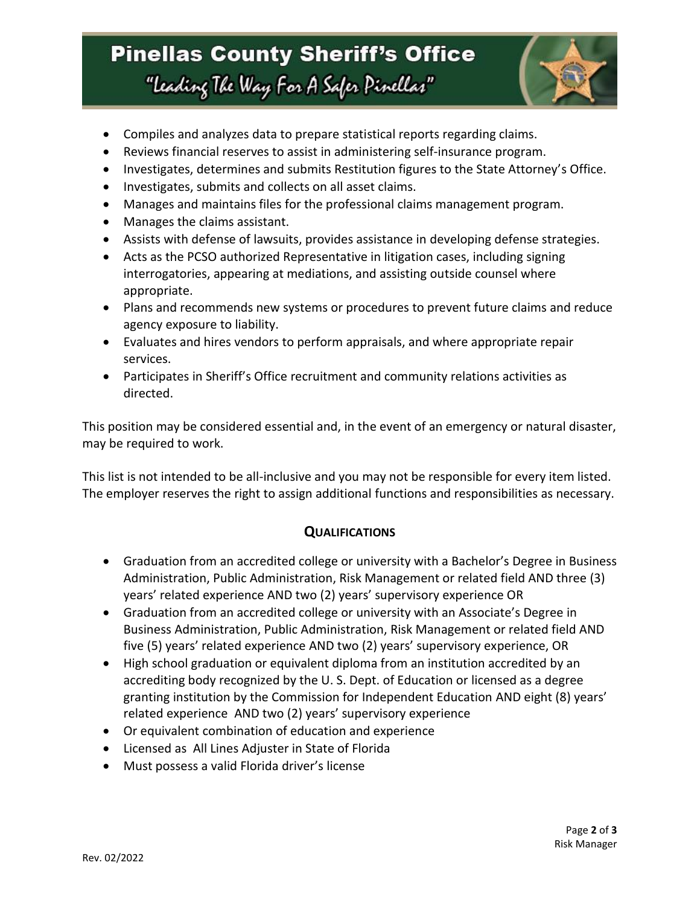## **Pinellas County Sheriff's Office** "Leading The Way For A Safer Pinellar"



- Compiles and analyzes data to prepare statistical reports regarding claims.
- Reviews financial reserves to assist in administering self-insurance program.
- Investigates, determines and submits Restitution figures to the State Attorney's Office.
- Investigates, submits and collects on all asset claims.
- Manages and maintains files for the professional claims management program.
- Manages the claims assistant.
- Assists with defense of lawsuits, provides assistance in developing defense strategies.
- Acts as the PCSO authorized Representative in litigation cases, including signing interrogatories, appearing at mediations, and assisting outside counsel where appropriate.
- Plans and recommends new systems or procedures to prevent future claims and reduce agency exposure to liability.
- Evaluates and hires vendors to perform appraisals, and where appropriate repair services.
- Participates in Sheriff's Office recruitment and community relations activities as directed.

This position may be considered essential and, in the event of an emergency or natural disaster, may be required to work.

This list is not intended to be all-inclusive and you may not be responsible for every item listed. The employer reserves the right to assign additional functions and responsibilities as necessary.

#### **QUALIFICATIONS**

- Graduation from an accredited college or university with a Bachelor's Degree in Business Administration, Public Administration, Risk Management or related field AND three (3) years' related experience AND two (2) years' supervisory experience OR
- Graduation from an accredited college or university with an Associate's Degree in Business Administration, Public Administration, Risk Management or related field AND five (5) years' related experience AND two (2) years' supervisory experience, OR
- High school graduation or equivalent diploma from an institution accredited by an accrediting body recognized by the U. S. Dept. of Education or licensed as a degree granting institution by the Commission for Independent Education AND eight (8) years' related experience AND two (2) years' supervisory experience
- Or equivalent combination of education and experience
- Licensed as All Lines Adjuster in State of Florida
- Must possess a valid Florida driver's license